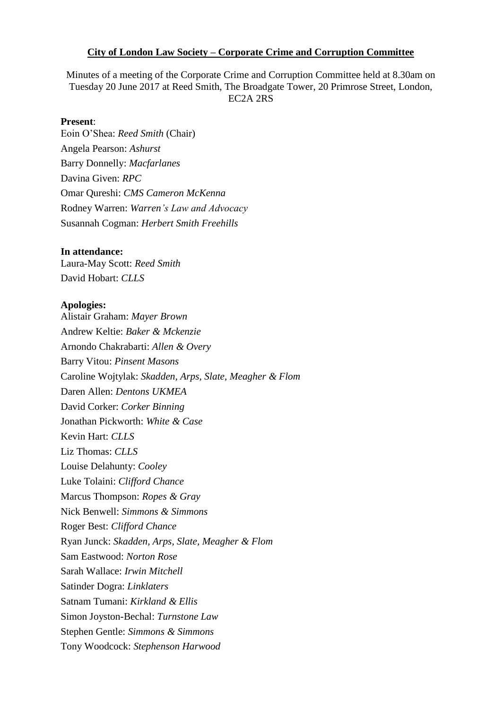### **City of London Law Society – Corporate Crime and Corruption Committee**

Minutes of a meeting of the Corporate Crime and Corruption Committee held at 8.30am on Tuesday 20 June 2017 at Reed Smith, The Broadgate Tower, 20 Primrose Street, London, EC2A 2RS

### **Present**:

Eoin O'Shea: *Reed Smith* (Chair) Angela Pearson: *Ashurst* Barry Donnelly: *Macfarlanes* Davina Given: *RPC* Omar Qureshi: *CMS Cameron McKenna* Rodney Warren: *Warren's Law and Advocacy*  Susannah Cogman: *Herbert Smith Freehills* 

### **In attendance:**

Laura-May Scott: *Reed Smith* David Hobart: *CLLS*

### **Apologies:**

Alistair Graham: *Mayer Brown* Andrew Keltie: *Baker & Mckenzie* Arnondo Chakrabarti: *Allen & Overy* Barry Vitou: *Pinsent Masons* Caroline Wojtylak: *Skadden, Arps, Slate, Meagher & Flom* Daren Allen: *Dentons UKMEA*  David Corker: *Corker Binning* Jonathan Pickworth: *White & Case* Kevin Hart: *CLLS* Liz Thomas: *CLLS* Louise Delahunty: *Cooley* Luke Tolaini: *Clifford Chance* Marcus Thompson: *Ropes & Gray* Nick Benwell: *Simmons & Simmons* Roger Best: *Clifford Chance* Ryan Junck: *Skadden, Arps, Slate, Meagher & Flom* Sam Eastwood: *Norton Rose* Sarah Wallace: *Irwin Mitchell* Satinder Dogra: *Linklaters* Satnam Tumani: *Kirkland & Ellis* Simon Joyston-Bechal: *Turnstone Law* Stephen Gentle: *Simmons & Simmons* Tony Woodcock: *Stephenson Harwood*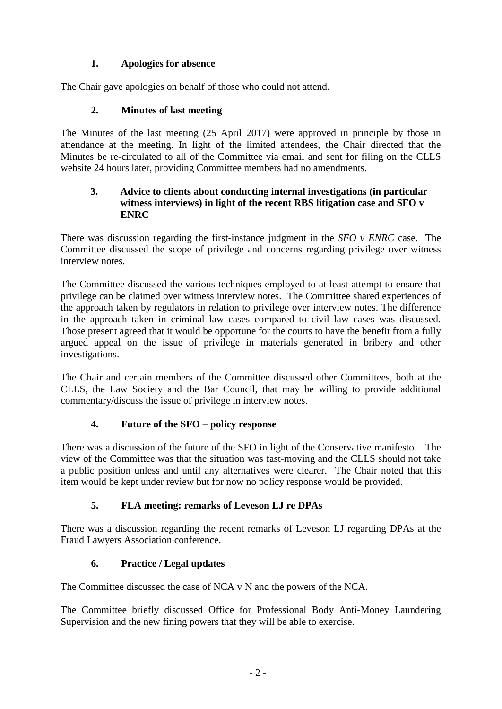# **1. Apologies for absence**

The Chair gave apologies on behalf of those who could not attend.

### **2. Minutes of last meeting**

The Minutes of the last meeting (25 April 2017) were approved in principle by those in attendance at the meeting. In light of the limited attendees, the Chair directed that the Minutes be re-circulated to all of the Committee via email and sent for filing on the CLLS website 24 hours later, providing Committee members had no amendments.

### **3. Advice to clients about conducting internal investigations (in particular witness interviews) in light of the recent RBS litigation case and SFO v ENRC**

There was discussion regarding the first-instance judgment in the *SFO v ENRC* case. The Committee discussed the scope of privilege and concerns regarding privilege over witness interview notes.

The Committee discussed the various techniques employed to at least attempt to ensure that privilege can be claimed over witness interview notes. The Committee shared experiences of the approach taken by regulators in relation to privilege over interview notes. The difference in the approach taken in criminal law cases compared to civil law cases was discussed. Those present agreed that it would be opportune for the courts to have the benefit from a fully argued appeal on the issue of privilege in materials generated in bribery and other investigations.

The Chair and certain members of the Committee discussed other Committees, both at the CLLS, the Law Society and the Bar Council, that may be willing to provide additional commentary/discuss the issue of privilege in interview notes.

# **4. Future of the SFO – policy response**

There was a discussion of the future of the SFO in light of the Conservative manifesto. The view of the Committee was that the situation was fast-moving and the CLLS should not take a public position unless and until any alternatives were clearer. The Chair noted that this item would be kept under review but for now no policy response would be provided.

# **5. FLA meeting: remarks of Leveson LJ re DPAs**

There was a discussion regarding the recent remarks of Leveson LJ regarding DPAs at the Fraud Lawyers Association conference.

# **6. Practice / Legal updates**

The Committee discussed the case of NCA v N and the powers of the NCA.

The Committee briefly discussed Office for Professional Body Anti-Money Laundering Supervision and the new fining powers that they will be able to exercise.